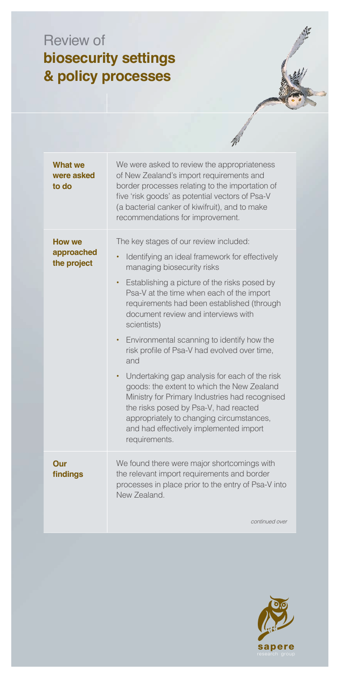## Review of biosecurity settings & policy processes

| What we<br>were asked<br>to do      | We were asked to review the appropriateness<br>of New Zealand's import requirements and<br>border processes relating to the importation of<br>five 'risk goods' as potential vectors of Psa-V<br>(a bacterial canker of kiwifruit), and to make<br>recommendations for improvement.                                                                                                                                                                                                                                                                                                                                                                                                                                                                          |
|-------------------------------------|--------------------------------------------------------------------------------------------------------------------------------------------------------------------------------------------------------------------------------------------------------------------------------------------------------------------------------------------------------------------------------------------------------------------------------------------------------------------------------------------------------------------------------------------------------------------------------------------------------------------------------------------------------------------------------------------------------------------------------------------------------------|
| How we<br>approached<br>the project | The key stages of our review included:<br>Identifying an ideal framework for effectively<br>managing biosecurity risks<br>Establishing a picture of the risks posed by<br>٠<br>Psa-V at the time when each of the import<br>requirements had been established (through<br>document review and interviews with<br>scientists)<br>Environmental scanning to identify how the<br>$\bullet$<br>risk profile of Psa-V had evolved over time,<br>and<br>Undertaking gap analysis for each of the risk<br>$\bullet$<br>goods: the extent to which the New Zealand<br>Ministry for Primary Industries had recognised<br>the risks posed by Psa-V, had reacted<br>appropriately to changing circumstances,<br>and had effectively implemented import<br>requirements. |
| Our<br>findings                     | We found there were major shortcomings with<br>the relevant import requirements and border<br>processes in place prior to the entry of Psa-V into<br>New Zealand.<br>continued over                                                                                                                                                                                                                                                                                                                                                                                                                                                                                                                                                                          |